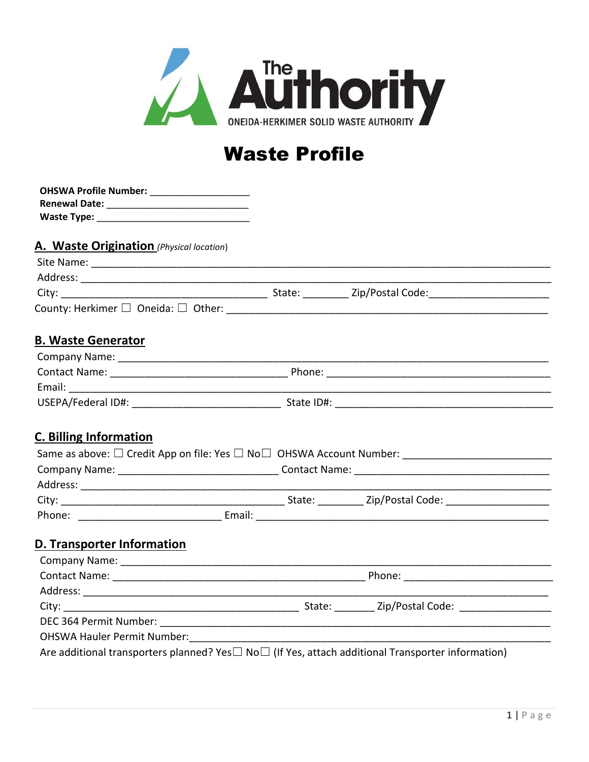

## **Waste Profile**

| OHSWA Profile Number: _____________________ |  |  |                                                                                                               |
|---------------------------------------------|--|--|---------------------------------------------------------------------------------------------------------------|
|                                             |  |  |                                                                                                               |
|                                             |  |  |                                                                                                               |
| A. Waste Origination (Physical location)    |  |  |                                                                                                               |
|                                             |  |  |                                                                                                               |
|                                             |  |  |                                                                                                               |
|                                             |  |  |                                                                                                               |
|                                             |  |  |                                                                                                               |
| <b>B. Waste Generator</b>                   |  |  |                                                                                                               |
|                                             |  |  |                                                                                                               |
|                                             |  |  |                                                                                                               |
|                                             |  |  |                                                                                                               |
|                                             |  |  |                                                                                                               |
| <b>C. Billing Information</b>               |  |  | Same as above: □ Credit App on file: Yes □ No□ OHSWA Account Number: ______________________________           |
|                                             |  |  |                                                                                                               |
|                                             |  |  |                                                                                                               |
|                                             |  |  |                                                                                                               |
|                                             |  |  |                                                                                                               |
| D. Transporter Information                  |  |  |                                                                                                               |
|                                             |  |  |                                                                                                               |
|                                             |  |  |                                                                                                               |
|                                             |  |  |                                                                                                               |
|                                             |  |  |                                                                                                               |
|                                             |  |  |                                                                                                               |
|                                             |  |  |                                                                                                               |
|                                             |  |  | Are additional transporters planned? Yes $\Box$ No $\Box$ (If Yes, attach additional Transporter information) |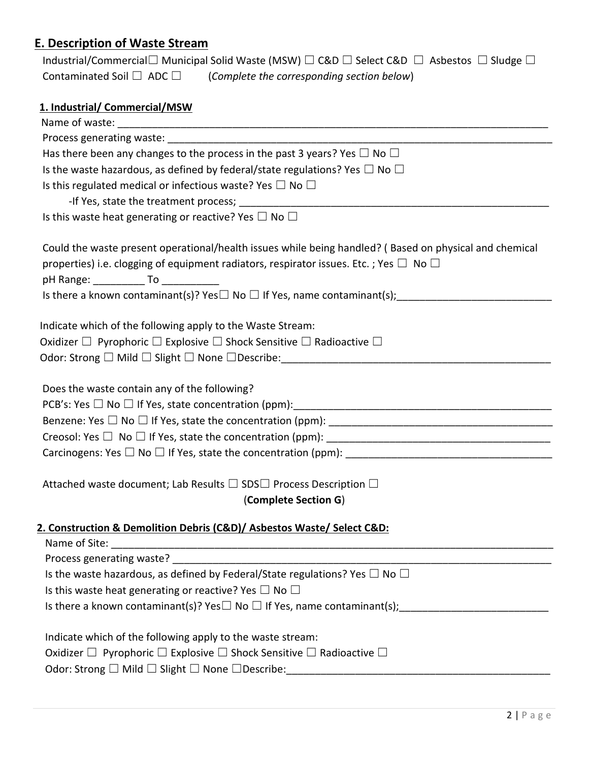## **E. Description of Waste Stream**

|                                     | Industrial/Commercial $\Box$ Municipal Solid Waste (MSW) $\Box$ C&D $\Box$ Select C&D $\Box$ Asbestos $\Box$ Sludge $\Box$ |
|-------------------------------------|----------------------------------------------------------------------------------------------------------------------------|
| Contaminated Soil $\Box$ ADC $\Box$ | (Complete the corresponding section below)                                                                                 |
|                                     |                                                                                                                            |
| 1. Industrial/ Commercial/MSW       |                                                                                                                            |

| Has there been any changes to the process in the past 3 years? Yes $\Box$ No $\Box$                    |  |  |
|--------------------------------------------------------------------------------------------------------|--|--|
| Is the waste hazardous, as defined by federal/state regulations? Yes $\Box$ No $\Box$                  |  |  |
| Is this regulated medical or infectious waste? Yes $\Box$ No $\Box$                                    |  |  |
|                                                                                                        |  |  |
| Is this waste heat generating or reactive? Yes $\Box$ No $\Box$                                        |  |  |
| Could the waste present operational/health issues while being handled? (Based on physical and chemical |  |  |
| properties) i.e. clogging of equipment radiators, respirator issues. Etc. ; Yes $\Box$ No $\Box$       |  |  |
| pH Range: _____________ To ____________                                                                |  |  |
|                                                                                                        |  |  |
| Indicate which of the following apply to the Waste Stream:                                             |  |  |
| Oxidizer $\Box$ Pyrophoric $\Box$ Explosive $\Box$ Shock Sensitive $\Box$ Radioactive $\Box$           |  |  |
|                                                                                                        |  |  |
|                                                                                                        |  |  |
| Does the waste contain any of the following?                                                           |  |  |
|                                                                                                        |  |  |
|                                                                                                        |  |  |
|                                                                                                        |  |  |
|                                                                                                        |  |  |
| Attached waste document; Lab Results □ SDS□ Process Description □                                      |  |  |
| (Complete Section G)                                                                                   |  |  |
|                                                                                                        |  |  |
| 2. Construction & Demolition Debris (C&D)/ Asbestos Waste/ Select C&D:                                 |  |  |
| Name of Site:                                                                                          |  |  |
|                                                                                                        |  |  |
| Is the waste hazardous, as defined by Federal/State regulations? Yes $\Box$ No $\Box$                  |  |  |
| Is this waste heat generating or reactive? Yes $\Box$ No $\Box$                                        |  |  |
|                                                                                                        |  |  |
| Indicate which of the following apply to the waste stream:                                             |  |  |
| Oxidizer $\Box$ Pyrophoric $\Box$ Explosive $\Box$ Shock Sensitive $\Box$ Radioactive $\Box$           |  |  |
| Odor: Strong □ Mild □ Slight □ None □ Describe:                                                        |  |  |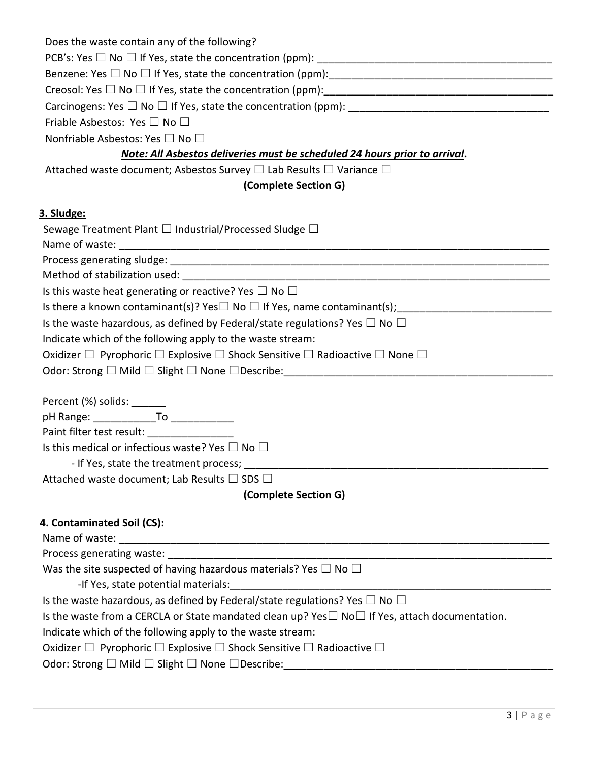| Does the waste contain any of the following?                                                              |  |  |  |  |
|-----------------------------------------------------------------------------------------------------------|--|--|--|--|
|                                                                                                           |  |  |  |  |
|                                                                                                           |  |  |  |  |
|                                                                                                           |  |  |  |  |
|                                                                                                           |  |  |  |  |
| Friable Asbestos: Yes $\square$ No $\square$                                                              |  |  |  |  |
| Nonfriable Asbestos: Yes □ No □                                                                           |  |  |  |  |
| Note: All Asbestos deliveries must be scheduled 24 hours prior to arrival.                                |  |  |  |  |
| Attached waste document; Asbestos Survey $\Box$ Lab Results $\Box$ Variance $\Box$                        |  |  |  |  |
| (Complete Section G)                                                                                      |  |  |  |  |
|                                                                                                           |  |  |  |  |
| 3. Sludge:                                                                                                |  |  |  |  |
| Sewage Treatment Plant $\square$ Industrial/Processed Sludge $\square$                                    |  |  |  |  |
|                                                                                                           |  |  |  |  |
|                                                                                                           |  |  |  |  |
| Is this waste heat generating or reactive? Yes $\Box$ No $\Box$                                           |  |  |  |  |
|                                                                                                           |  |  |  |  |
| Is the waste hazardous, as defined by Federal/state regulations? Yes $\Box$ No $\Box$                     |  |  |  |  |
| Indicate which of the following apply to the waste stream:                                                |  |  |  |  |
| Oxidizer $\Box$ Pyrophoric $\Box$ Explosive $\Box$ Shock Sensitive $\Box$ Radioactive $\Box$ None $\Box$  |  |  |  |  |
|                                                                                                           |  |  |  |  |
|                                                                                                           |  |  |  |  |
| Percent (%) solids: _______                                                                               |  |  |  |  |
| pH Range: _______________To _____________                                                                 |  |  |  |  |
| Paint filter test result: ___________________                                                             |  |  |  |  |
| Is this medical or infectious waste? Yes $\Box$ No $\Box$                                                 |  |  |  |  |
| - If Yes, state the treatment process;                                                                    |  |  |  |  |
| Attached waste document; Lab Results $\Box$ SDS $\Box$                                                    |  |  |  |  |
| (Complete Section G)                                                                                      |  |  |  |  |
| 4. Contaminated Soil (CS):                                                                                |  |  |  |  |
|                                                                                                           |  |  |  |  |
|                                                                                                           |  |  |  |  |
| Was the site suspected of having hazardous materials? Yes $\Box$ No $\Box$                                |  |  |  |  |
| -If Yes, state potential materials:                                                                       |  |  |  |  |
| Is the waste hazardous, as defined by Federal/state regulations? Yes $\Box$ No $\Box$                     |  |  |  |  |
| Is the waste from a CERCLA or State mandated clean up? Yes $\Box$ No $\Box$ If Yes, attach documentation. |  |  |  |  |
| Indicate which of the following apply to the waste stream:                                                |  |  |  |  |

Oxidizer  $\Box$  Pyrophoric  $\Box$  Explosive  $\Box$  Shock Sensitive  $\Box$  Radioactive  $\Box$ 

## Odor: Strong □ Mild □ Slight □ None □Describe:\_\_\_\_\_\_\_\_\_\_\_\_\_\_\_\_\_\_\_\_\_\_\_\_\_\_\_\_\_\_\_\_\_\_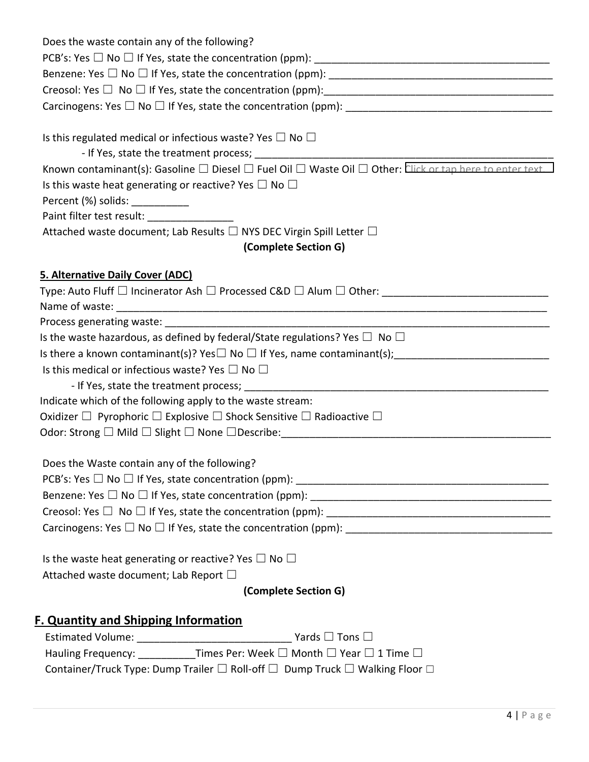| Does the waste contain any of the following?                                                                                             |  |  |  |  |
|------------------------------------------------------------------------------------------------------------------------------------------|--|--|--|--|
|                                                                                                                                          |  |  |  |  |
|                                                                                                                                          |  |  |  |  |
|                                                                                                                                          |  |  |  |  |
|                                                                                                                                          |  |  |  |  |
|                                                                                                                                          |  |  |  |  |
| Is this regulated medical or infectious waste? Yes $\Box$ No $\Box$                                                                      |  |  |  |  |
|                                                                                                                                          |  |  |  |  |
| Known contaminant(s): Gasoline $\square$ Diesel $\square$ Fuel Oil $\square$ Waste Oil $\square$ Other: Click or tap here to enter text. |  |  |  |  |
| Is this waste heat generating or reactive? Yes $\Box$ No $\Box$                                                                          |  |  |  |  |
| Percent (%) solids: ___________                                                                                                          |  |  |  |  |
| Paint filter test result: _________________                                                                                              |  |  |  |  |
| Attached waste document; Lab Results $\Box$ NYS DEC Virgin Spill Letter $\Box$                                                           |  |  |  |  |
| (Complete Section G)                                                                                                                     |  |  |  |  |
| <b>5. Alternative Daily Cover (ADC)</b>                                                                                                  |  |  |  |  |
| Type: Auto Fluff $\Box$ Incinerator Ash $\Box$ Processed C&D $\Box$ Alum $\Box$ Other:                                                   |  |  |  |  |
|                                                                                                                                          |  |  |  |  |
|                                                                                                                                          |  |  |  |  |
| Is the waste hazardous, as defined by federal/State regulations? Yes $\Box$ No $\Box$                                                    |  |  |  |  |
|                                                                                                                                          |  |  |  |  |
| Is this medical or infectious waste? Yes $\Box$ No $\Box$                                                                                |  |  |  |  |
|                                                                                                                                          |  |  |  |  |
| Indicate which of the following apply to the waste stream:                                                                               |  |  |  |  |
| Oxidizer $\Box$ Pyrophoric $\Box$ Explosive $\Box$ Shock Sensitive $\Box$ Radioactive $\Box$                                             |  |  |  |  |
|                                                                                                                                          |  |  |  |  |
|                                                                                                                                          |  |  |  |  |
| Does the Waste contain any of the following?                                                                                             |  |  |  |  |
|                                                                                                                                          |  |  |  |  |
|                                                                                                                                          |  |  |  |  |
|                                                                                                                                          |  |  |  |  |
|                                                                                                                                          |  |  |  |  |
|                                                                                                                                          |  |  |  |  |
| Is the waste heat generating or reactive? Yes $\Box$ No $\Box$                                                                           |  |  |  |  |
| Attached waste document; Lab Report □                                                                                                    |  |  |  |  |
| (Complete Section G)                                                                                                                     |  |  |  |  |
| <b>F. Quantity and Shipping Information</b>                                                                                              |  |  |  |  |
|                                                                                                                                          |  |  |  |  |
| Hauling Frequency: ___________Times Per: Week □ Month □ Year □ 1 Time □                                                                  |  |  |  |  |
|                                                                                                                                          |  |  |  |  |